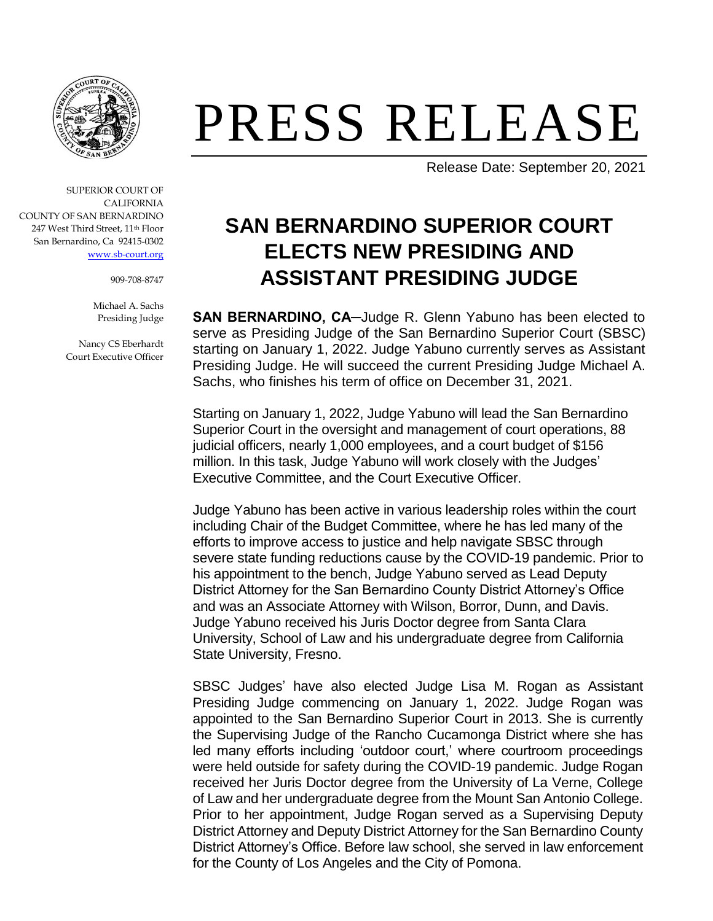

## PRESS RELEASE

Release Date: September 20, 2021

## **SAN BERNARDINO SUPERIOR COURT ELECTS NEW PRESIDING AND ASSISTANT PRESIDING JUDGE**

**SAN BERNARDINO, CA─**Judge R. Glenn Yabuno has been elected to serve as Presiding Judge of the San Bernardino Superior Court (SBSC) starting on January 1, 2022. Judge Yabuno currently serves as Assistant Presiding Judge. He will succeed the current Presiding Judge Michael A. Sachs, who finishes his term of office on December 31, 2021.

Starting on January 1, 2022, Judge Yabuno will lead the San Bernardino Superior Court in the oversight and management of court operations, 88 judicial officers, nearly 1,000 employees, and a court budget of \$156 million. In this task, Judge Yabuno will work closely with the Judges' Executive Committee, and the Court Executive Officer.

Judge Yabuno has been active in various leadership roles within the court including Chair of the Budget Committee, where he has led many of the efforts to improve access to justice and help navigate SBSC through severe state funding reductions cause by the COVID-19 pandemic. Prior to his appointment to the bench, Judge Yabuno served as Lead Deputy District Attorney for the San Bernardino County District Attorney's Office and was an Associate Attorney with Wilson, Borror, Dunn, and Davis. Judge Yabuno received his Juris Doctor degree from Santa Clara University, School of Law and his undergraduate degree from California State University, Fresno.

SBSC Judges' have also elected Judge Lisa M. Rogan as Assistant Presiding Judge commencing on January 1, 2022. Judge Rogan was appointed to the San Bernardino Superior Court in 2013. She is currently the Supervising Judge of the Rancho Cucamonga District where she has led many efforts including 'outdoor court,' where courtroom proceedings were held outside for safety during the COVID-19 pandemic. Judge Rogan received her Juris Doctor degree from the University of La Verne, College of Law and her undergraduate degree from the Mount San Antonio College. Prior to her appointment, Judge Rogan served as a Supervising Deputy District Attorney and Deputy District Attorney for the San Bernardino County District Attorney's Office. Before law school, she served in law enforcement for the County of Los Angeles and the City of Pomona.

SUPERIOR COURT OF CALIFORNIA COUNTY OF SAN BERNARDINO 247 West Third Street, 11th Floor San Bernardino, Ca 92415-0302 [www.sb-court.org](http://www.sb-court.org/)

909-708-8747

Michael A. Sachs Presiding Judge

Nancy CS Eberhardt Court Executive Officer